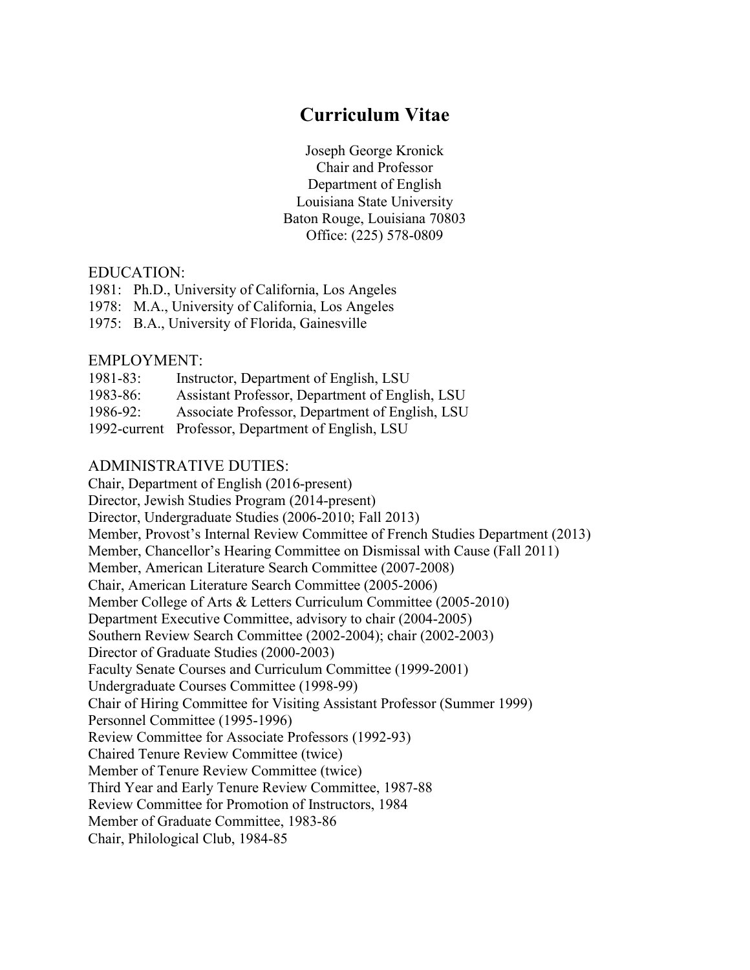# **Curriculum Vitae**

Joseph George Kronick Chair and Professor Department of English Louisiana State University Baton Rouge, Louisiana 7080 3 Office: (225) 578-0809

# EDUCATION:

- 1981: Ph.D., University of California, Los Angeles
- 1978: M.A., University of California, Los Angeles
- 1975: B.A., University of Florida, Gainesville

# EMPLOYMENT:

| $1981 - 83$ : | Instructor, Department of English, LSU             |
|---------------|----------------------------------------------------|
| 1983-86:      | Assistant Professor, Department of English, LSU    |
| 1986-92:      | Associate Professor, Department of English, LSU    |
|               | 1992-current Professor, Department of English, LSU |

# ADMINISTRATIVE DUTIES:

 Director, Undergraduate Studies (2006-2010; Fall 2013) Review Committee for Associate Professors (1992-93) Third Year and Early Tenure Review Committee, 1987-88 Chair, Department of English (2016-present) Director, Jewish Studies Program (2014-present) Member, Provost's Internal Review Committee of French Studies Department (2013) Member, Chancellor's Hearing Committee on Dismissal with Cause (Fall 2011) Member, American Literature Search Committee (2007-2008) Chair, American Literature Search Committee (2005-2006) Member College of Arts & Letters Curriculum Committee (2005-2010) Department Executive Committee, advisory to chair (2004-2005) Southern Review Search Committee (2002-2004); chair (2002-2003) Director of Graduate Studies (2000-2003) Faculty Senate Courses and Curriculum Committee (1999-2001) Undergraduate Courses Committee (1998-99) Chair of Hiring Committee for Visiting Assistant Professor (Summer 1999) Personnel Committee (1995-1996) Chaired Tenure Review Committee (twice) Member of Tenure Review Committee (twice) Review Committee for Promotion of Instructors, 1984 Member of Graduate Committee, 1983-86 Chair, Philological Club, 1984-85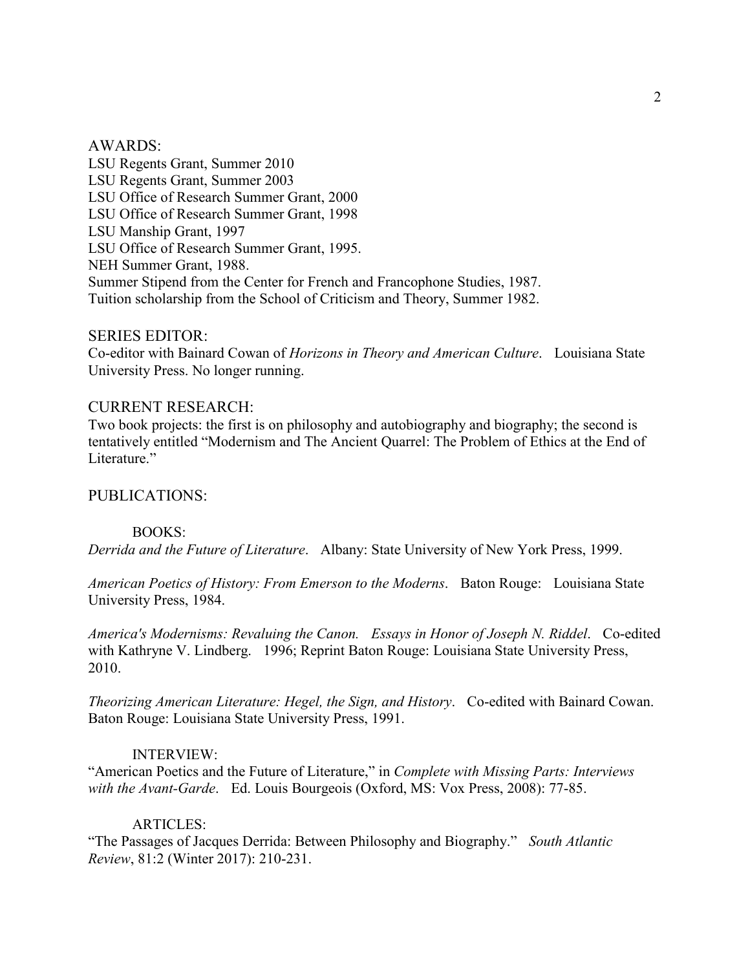#### AWARDS:

LSU Regents Grant, Summer 2010 LSU Regents Grant, Summer 2003 LSU Office of Research Summer Grant, 2000 LSU Office of Research Summer Grant, 1998 LSU Manship Grant, 1997 LSU Office of Research Summer Grant, 1995. NEH Summer Grant, 1988. Summer Stipend from the Center for French and Francophone Studies, 1987. Tuition scholarship from the School of Criticism and Theory, Summer 1982.

## SERIES EDITOR:

 Co-editor with Bainard Cowan of *Horizons in Theory and American Culture*. Louisiana State University Press. No longer running.

# CURRENT RESEARCH:

 Two book projects: the first is on philosophy and autobiography and biography; the second is Literature." tentatively entitled "Modernism and The Ancient Quarrel: The Problem of Ethics at the End of

## PUBLICATIONS:

### BOOKS:

*Derrida and the Future of Literature*. Albany: State University of New York Press, 1999.

 *American Poetics of History: From Emerson to the Moderns*. Baton Rouge: Louisiana State University Press, 1984.

*America's Modernisms: Revaluing the Canon. Essays in Honor of Joseph N. Riddel*. Co-edited with Kathryne V. Lindberg. 1996; Reprint Baton Rouge: Louisiana State University Press, 2010.

 Baton Rouge: Louisiana State University Press, 1991. *Theorizing American Literature: Hegel, the Sign, and History*. Co-edited with Bainard Cowan.

#### INTERVIEW:

 *with the Avant-Garde*. Ed. Louis Bourgeois (Oxford, MS: Vox Press, 2008): 77-85. "American Poetics and the Future of Literature," in *Complete with Missing Parts: Interviews* 

#### ARTICLES:

 "The Passages of Jacques Derrida: Between Philosophy and Biography." *South Atlantic Review*, 81:2 (Winter 2017): 210-231.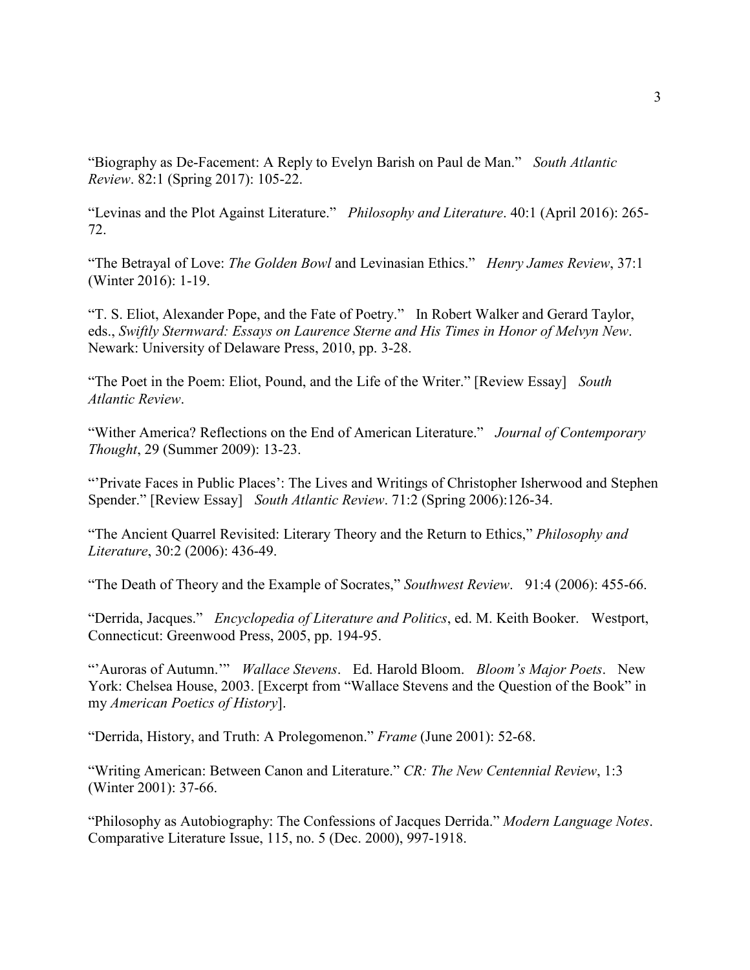"Biography as De-Facement: A Reply to Evelyn Barish on Paul de Man." *South Atlantic Review*. 82:1 (Spring 2017): 105-22.

 "Levinas and the Plot Against Literature." *Philosophy and Literature*. 40:1 (April 2016): 265- 72.

 "The Betrayal of Love: *The Golden Bowl* and Levinasian Ethics." *Henry James Review*, 37:1 (Winter 2016): 1-19.

 "T. S. Eliot, Alexander Pope, and the Fate of Poetry." In Robert Walker and Gerard Taylor, eds., *Swiftly Sternward: Essays on Laurence Sterne and His Times in Honor of Melvyn New*. Newark: University of Delaware Press, 2010, pp. 3-28.

 "The Poet in the Poem: Eliot, Pound, and the Life of the Writer." [Review Essay] *South Atlantic Review*.

 "Wither America? Reflections on the End of American Literature." *Journal of Contemporary Thought*, 29 (Summer 2009): 13-23.

"'Private Faces in Public Places': The Lives and Writings of Christopher Isherwood and Stephen Spender." [Review Essay] *South Atlantic Review*. 71:2 (Spring 2006):126-34.

 *Literature*, 30:2 (2006): 436-49. "The Ancient Quarrel Revisited: Literary Theory and the Return to Ethics," *Philosophy and* 

"The Death of Theory and the Example of Socrates," *Southwest Review*. 91:4 (2006): 455-66.

 "Derrida, Jacques." *Encyclopedia of Literature and Politics*, ed. M. Keith Booker. Westport, Connecticut: Greenwood Press, 2005, pp. 194-95.

 "'Auroras of Autumn.'" *Wallace Stevens*. Ed. Harold Bloom. *Bloom's Major Poets*. New York: Chelsea House, 2003. [Excerpt from "Wallace Stevens and the Question of the Book" in my *American Poetics of History*].

"Derrida, History, and Truth: A Prolegomenon." *Frame* (June 2001): 52-68.

"Writing American: Between Canon and Literature." *CR: The New Centennial Review*, 1:3 (Winter 2001): 37-66.

 Comparative Literature Issue, 115, no. 5 (Dec. 2000), 997-1918. "Philosophy as Autobiography: The Confessions of Jacques Derrida." *Modern Language Notes*.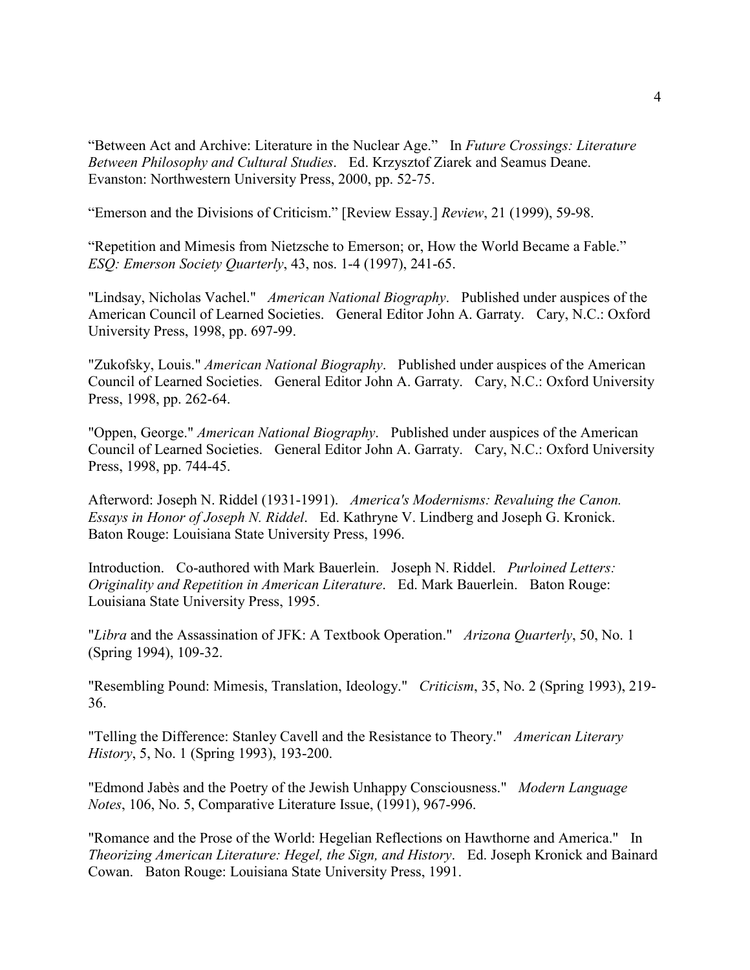"Between Act and Archive: Literature in the Nuclear Age." In *Future Crossings: Literature*  Evanston: Northwestern University Press, 2000, pp. 52-75. *Between Philosophy and Cultural Studies*. Ed. Krzysztof Ziarek and Seamus Deane.

"Emerson and the Divisions of Criticism." [Review Essay.] *Review*, 21 (1999), 59-98.

 "Repetition and Mimesis from Nietzsche to Emerson; or, How the World Became a Fable." *ESQ: Emerson Society Quarterly*, 43, nos. 1-4 (1997), 241-65.

 "Lindsay, Nicholas Vachel." *American National Biography*. Published under auspices of the American Council of Learned Societies. General Editor John A. Garraty. Cary, N.C.: Oxford University Press, 1998, pp. 697-99.

 "Zukofsky, Louis." *American National Biography*. Published under auspices of the American Council of Learned Societies. General Editor John A. Garraty. Cary, N.C.: Oxford University Press, 1998, pp. 262-64.

"Oppen, George." *American National Biography*. Published under auspices of the American Council of Learned Societies. General Editor John A. Garraty. Cary, N.C.: Oxford University Press, 1998, pp. 744-45.

 Baton Rouge: Louisiana State University Press, 1996. Afterword: Joseph N. Riddel (1931-1991). *America's Modernisms: Revaluing the Canon. Essays in Honor of Joseph N. Riddel*. Ed. Kathryne V. Lindberg and Joseph G. Kronick.

 Louisiana State University Press, 1995. Introduction. Co-authored with Mark Bauerlein. Joseph N. Riddel. *Purloined Letters: Originality and Repetition in American Literature*. Ed. Mark Bauerlein. Baton Rouge:

 "*Libra* and the Assassination of JFK: A Textbook Operation." *Arizona Quarterly*, 50, No. 1 (Spring 1994), 109-32.

 "Resembling Pound: Mimesis, Translation, Ideology." *Criticism*, 35, No. 2 (Spring 1993), 219- 36.

 "Telling the Difference: Stanley Cavell and the Resistance to Theory." *American Literary History*, 5, No. 1 (Spring 1993), 193-200.

 "Edmond Jabès and the Poetry of the Jewish Unhappy Consciousness." *Modern Language Notes*, 106, No. 5, Comparative Literature Issue, (1991), 967-996.

 "Romance and the Prose of the World: Hegelian Reflections on Hawthorne and America." In *Theorizing American Literature: Hegel, the Sign, and History*. Ed. Joseph Kronick and Bainard Cowan. Baton Rouge: Louisiana State University Press, 1991.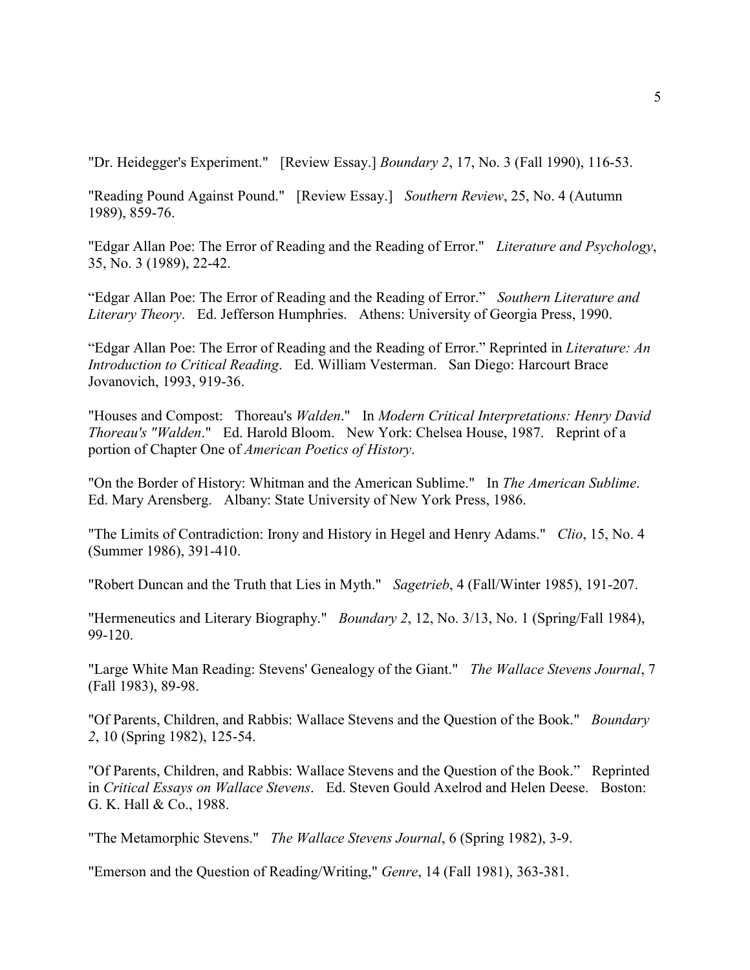"Dr. Heidegger's Experiment." [Review Essay.] *Boundary 2*, 17, No. 3 (Fall 1990), 116-53.

 "Reading Pound Against Pound." [Review Essay.] *Southern Review*, 25, No. 4 (Autumn 1989), 859-76.

 "Edgar Allan Poe: The Error of Reading and the Reading of Error." *Literature and Psychology*, 35, No. 3 (1989), 22-42.

 "Edgar Allan Poe: The Error of Reading and the Reading of Error." *Southern Literature and Literary Theory*. Ed. Jefferson Humphries. Athens: University of Georgia Press, 1990.

"Edgar Allan Poe: The Error of Reading and the Reading of Error." Reprinted in *Literature: An Introduction to Critical Reading*. Ed. William Vesterman. San Diego: Harcourt Brace Jovanovich, 1993, 919-36.

 "Houses and Compost: Thoreau's *Walden*." In *Modern Critical Interpretations: Henry David Thoreau's "Walden*." Ed. Harold Bloom. New York: Chelsea House, 1987. Reprint of a portion of Chapter One of *American Poetics of History*.

 "On the Border of History: Whitman and the American Sublime." In *The American Sublime*. Ed. Mary Arensberg. Albany: State University of New York Press, 1986.

 "The Limits of Contradiction: Irony and History in Hegel and Henry Adams." *Clio*, 15, No. 4 (Summer 1986), 391-410.

"Robert Duncan and the Truth that Lies in Myth." *Sagetrieb*, 4 (Fall/Winter 1985), 191-207.

 "Hermeneutics and Literary Biography." *Boundary 2*, 12, No. 3/13, No. 1 (Spring/Fall 1984), 99-120.

 "Large White Man Reading: Stevens' Genealogy of the Giant." *The Wallace Stevens Journal*, 7 (Fall 1983), 89-98.

 "Of Parents, Children, and Rabbis: Wallace Stevens and the Question of the Book." *Boundary 2*, 10 (Spring 1982), 125-54.

 "Of Parents, Children, and Rabbis: Wallace Stevens and the Question of the Book." Reprinted in *Critical Essays on Wallace Stevens*. Ed. Steven Gould Axelrod and Helen Deese. Boston: G. K. Hall & Co., 1988.

"The Metamorphic Stevens." *The Wallace Stevens Journal*, 6 (Spring 1982), 3-9.

"Emerson and the Question of Reading/Writing," *Genre*, 14 (Fall 1981), 363-381.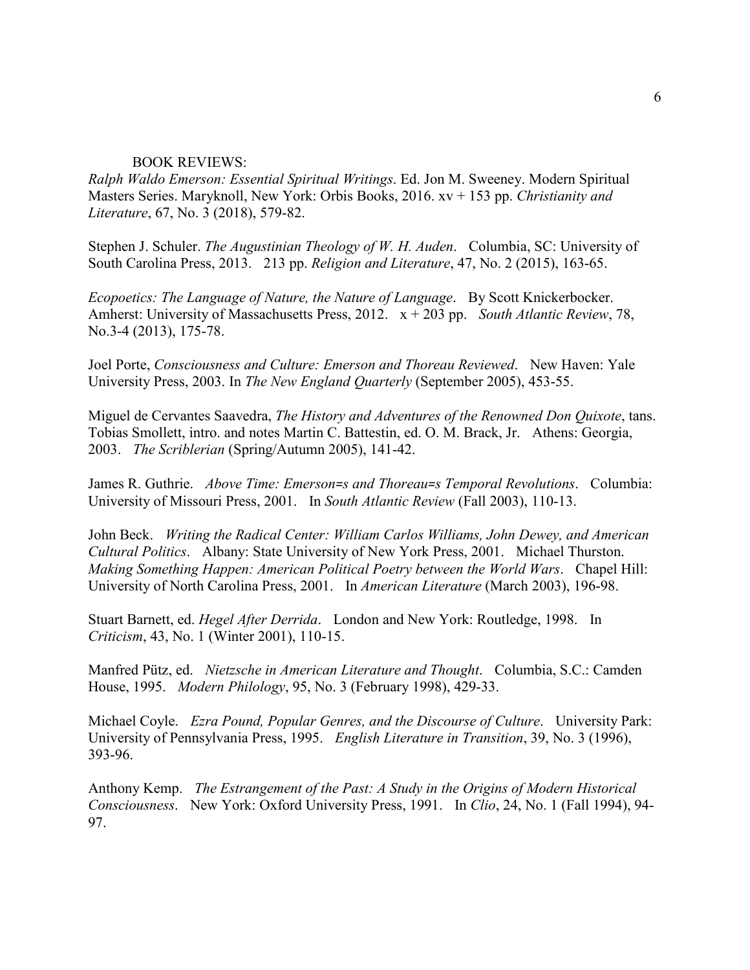#### BOOK REVIEWS:

*Ralph Waldo Emerson: Essential Spiritual Writings*. Ed. Jon M. Sweeney. Modern Spiritual Masters Series. Maryknoll, New York: Orbis Books, 2016. xv + 153 pp. *Christianity and Literature*, 67, No. 3 (2018), 579-82.

Stephen J. Schuler. *The Augustinian Theology of W. H. Auden*. Columbia, SC: University of South Carolina Press, 2013. 213 pp. *Religion and Literature*, 47, No. 2 (2015), 163-65.

 *Ecopoetics: The Language of Nature, the Nature of Language*. By Scott Knickerbocker. Amherst: University of Massachusetts Press, 2012. x + 203 pp. *South Atlantic Review*, 78, No.3-4 (2013), 175-78.

 Joel Porte, *Consciousness and Culture: Emerson and Thoreau Reviewed*. New Haven: Yale University Press, 2003. In *The New England Quarterly* (September 2005), 453-55.

Miguel de Cervantes Saavedra, *The History and Adventures of the Renowned Don Quixote*, tans. Tobias Smollett, intro. and notes Martin C. Battestin, ed. O. M. Brack, Jr. Athens: Georgia, 2003. *The Scriblerian* (Spring/Autumn 2005), 141-42.

James R. Guthrie. *Above Time: Emerson=s and Thoreau=s Temporal Revolutions*. Columbia: University of Missouri Press, 2001. In *South Atlantic Review* (Fall 2003), 110-13.

John Beck. *Writing the Radical Center: William Carlos Williams, John Dewey, and American Cultural Politics*. Albany: State University of New York Press, 2001. Michael Thurston. *Making Something Happen: American Political Poetry between the World Wars*. Chapel Hill: University of North Carolina Press, 2001. In *American Literature* (March 2003), 196-98.

Stuart Barnett, ed. *Hegel After Derrida*. London and New York: Routledge, 1998. In *Criticism*, 43, No. 1 (Winter 2001), 110-15.

Manfred Pütz, ed. *Nietzsche in American Literature and Thought*. Columbia, S.C.: Camden House, 1995. *Modern Philology*, 95, No. 3 (February 1998), 429-33.

 Michael Coyle. *Ezra Pound, Popular Genres, and the Discourse of Culture*. University Park: University of Pennsylvania Press, 1995. *English Literature in Transition*, 39, No. 3 (1996), 393-96.

Anthony Kemp. *The Estrangement of the Past: A Study in the Origins of Modern Historical Consciousness*. New York: Oxford University Press, 1991. In *Clio*, 24, No. 1 (Fall 1994), 94- 97.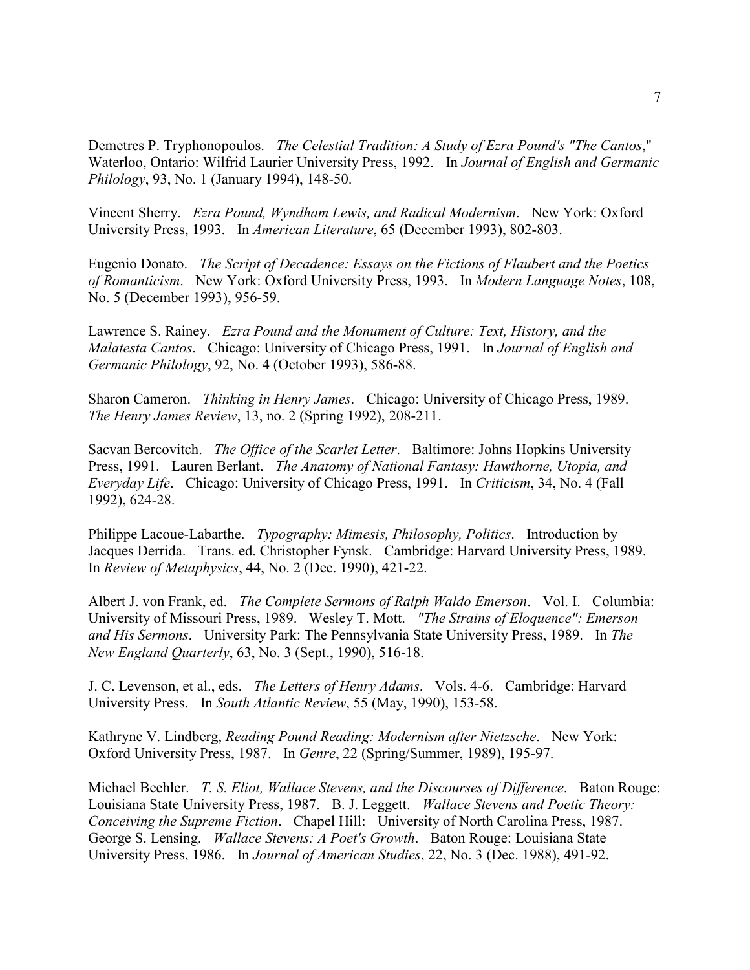Demetres P. Tryphonopoulos. *The Celestial Tradition: A Study of Ezra Pound's "The Cantos*," Waterloo, Ontario: Wilfrid Laurier University Press, 1992. In *Journal of English and Germanic Philology*, 93, No. 1 (January 1994), 148-50.

Vincent Sherry. *Ezra Pound, Wyndham Lewis, and Radical Modernism*. New York: Oxford University Press, 1993. In *American Literature*, 65 (December 1993), 802-803.

Eugenio Donato. *The Script of Decadence: Essays on the Fictions of Flaubert and the Poetics of Romanticism*. New York: Oxford University Press, 1993. In *Modern Language Notes*, 108, No. 5 (December 1993), 956-59.

 Lawrence S. Rainey. *Ezra Pound and the Monument of Culture: Text, History, and the Malatesta Cantos*. Chicago: University of Chicago Press, 1991. In *Journal of English and Germanic Philology*, 92, No. 4 (October 1993), 586-88.

Sharon Cameron. *Thinking in Henry James*. Chicago: University of Chicago Press, 1989. *The Henry James Review*, 13, no. 2 (Spring 1992), 208-211.

 Sacvan Bercovitch. *The Office of the Scarlet Letter*. Baltimore: Johns Hopkins University Press, 1991. Lauren Berlant. *The Anatomy of National Fantasy: Hawthorne, Utopia, and Everyday Life*. Chicago: University of Chicago Press, 1991. In *Criticism*, 34, No. 4 (Fall 1992), 624-28.

 Philippe Lacoue-Labarthe. *Typography: Mimesis, Philosophy, Politics*. Introduction by Jacques Derrida. Trans. ed. Christopher Fynsk. Cambridge: Harvard University Press, 1989. In *Review of Metaphysics*, 44, No. 2 (Dec. 1990), 421-22.

Albert J. von Frank, ed. *The Complete Sermons of Ralph Waldo Emerson*. Vol. I. Columbia: University of Missouri Press, 1989. Wesley T. Mott. *"The Strains of Eloquence": Emerson and His Sermons*. University Park: The Pennsylvania State University Press, 1989. In *The New England Quarterly*, 63, No. 3 (Sept., 1990), 516-18.

J. C. Levenson, et al., eds. *The Letters of Henry Adams*. Vols. 4-6. Cambridge: Harvard University Press. In *South Atlantic Review*, 55 (May, 1990), 153-58.

Kathryne V. Lindberg, *Reading Pound Reading: Modernism after Nietzsche*. New York: Oxford University Press, 1987. In *Genre*, 22 (Spring/Summer, 1989), 195-97.

 Michael Beehler. *T. S. Eliot, Wallace Stevens, and the Discourses of Difference*. Baton Rouge: Louisiana State University Press, 1987. B. J. Leggett. *Wallace Stevens and Poetic Theory: Conceiving the Supreme Fiction*. Chapel Hill: University of North Carolina Press, 1987. George S. Lensing. *Wallace Stevens: A Poet's Growth*. Baton Rouge: Louisiana State University Press, 1986. In *Journal of American Studies*, 22, No. 3 (Dec. 1988), 491-92.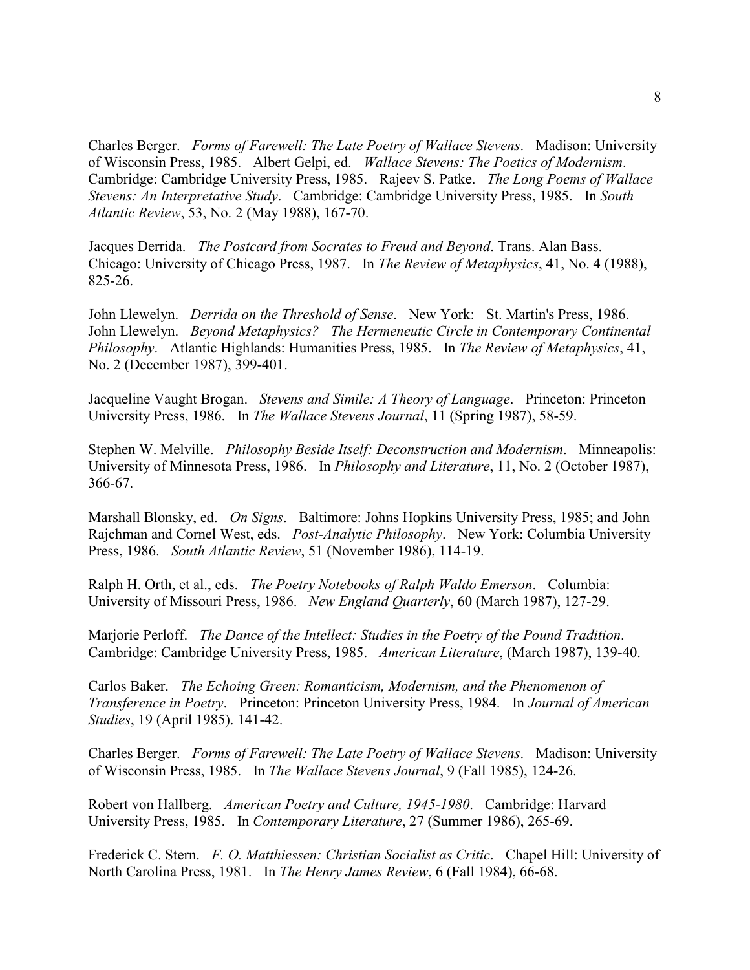Charles Berger. *Forms of Farewell: The Late Poetry of Wallace Stevens*. Madison: University  Cambridge: Cambridge University Press, 1985. Rajeev S. Patke. *The Long Poems of Wallace*  of Wisconsin Press, 1985. Albert Gelpi, ed. *Wallace Stevens: The Poetics of Modernism*. *Stevens: An Interpretative Study*. Cambridge: Cambridge University Press, 1985. In *South Atlantic Review*, 53, No. 2 (May 1988), 167-70.

 Jacques Derrida. *The Postcard from Socrates to Freud and Beyond*. Trans. Alan Bass. Chicago: University of Chicago Press, 1987. In *The Review of Metaphysics*, 41, No. 4 (1988), 825-26.

 John Llewelyn. *Beyond Metaphysics? The Hermeneutic Circle in Contemporary Continental*  John Llewelyn. *Derrida on the Threshold of Sense*. New York: St. Martin's Press, 1986. *Philosophy*. Atlantic Highlands: Humanities Press, 1985. In *The Review of Metaphysics*, 41, No. 2 (December 1987), 399-401.

Jacqueline Vaught Brogan. *Stevens and Simile: A Theory of Language*. Princeton: Princeton University Press, 1986. In *The Wallace Stevens Journal*, 11 (Spring 1987), 58-59.

Stephen W. Melville. *Philosophy Beside Itself: Deconstruction and Modernism*. Minneapolis: University of Minnesota Press, 1986. In *Philosophy and Literature*, 11, No. 2 (October 1987), 366-67.

 Marshall Blonsky, ed. *On Signs*. Baltimore: Johns Hopkins University Press, 1985; and John Rajchman and Cornel West, eds. *Post-Analytic Philosophy*. New York: Columbia University Press, 1986. *South Atlantic Review*, 51 (November 1986), 114-19.

 Ralph H. Orth, et al., eds. *The Poetry Notebooks of Ralph Waldo Emerson*. Columbia: University of Missouri Press, 1986. *New England Quarterly*, 60 (March 1987), 127-29.

 Marjorie Perloff. *The Dance of the Intellect: Studies in the Poetry of the Pound Tradition*. Cambridge: Cambridge University Press, 1985. *American Literature*, (March 1987), 139-40.

 Carlos Baker. *The Echoing Green: Romanticism, Modernism, and the Phenomenon of Transference in Poetry*. Princeton: Princeton University Press, 1984. In *Journal of American Studies*, 19 (April 1985). 141-42.

 Charles Berger. *Forms of Farewell: The Late Poetry of Wallace Stevens*. Madison: University of Wisconsin Press, 1985. In *The Wallace Stevens Journal*, 9 (Fall 1985), 124-26.

Robert von Hallberg. *American Poetry and Culture, 1945-1980*. Cambridge: Harvard University Press, 1985. In *Contemporary Literature*, 27 (Summer 1986), 265-69.

 Frederick C. Stern. *F. O. Matthiessen: Christian Socialist as Critic*. Chapel Hill: University of North Carolina Press, 1981. In *The Henry James Review*, 6 (Fall 1984), 66-68.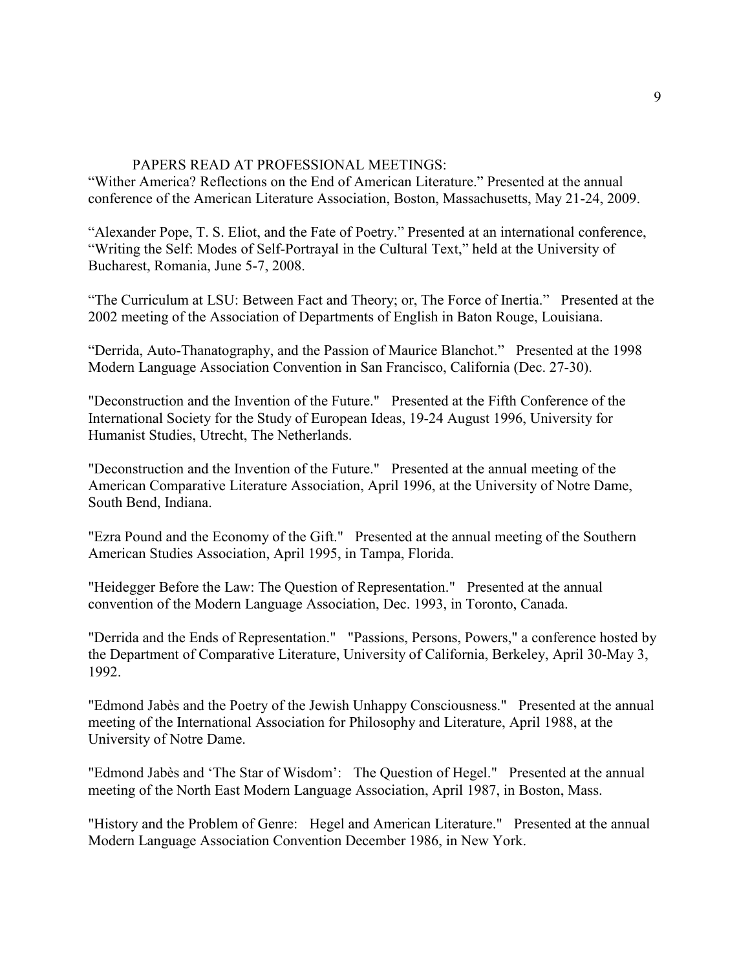# PAPERS READ AT PROFESSIONAL MEETINGS:

"Wither America? Reflections on the End of American Literature." Presented at the annual conference of the American Literature Association, Boston, Massachusetts, May 21-24, 2009.

"Alexander Pope, T. S. Eliot, and the Fate of Poetry." Presented at an international conference, "Writing the Self: Modes of Self-Portrayal in the Cultural Text," held at the University of Bucharest, Romania, June 5-7, 2008.

 "The Curriculum at LSU: Between Fact and Theory; or, The Force of Inertia." Presented at the 2002 meeting of the Association of Departments of English in Baton Rouge, Louisiana.

 "Derrida, Auto-Thanatography, and the Passion of Maurice Blanchot." Presented at the 1998 Modern Language Association Convention in San Francisco, California (Dec. 27-30).

 "Deconstruction and the Invention of the Future." Presented at the Fifth Conference of the International Society for the Study of European Ideas, 19-24 August 1996, University for Humanist Studies, Utrecht, The Netherlands.

 "Deconstruction and the Invention of the Future." Presented at the annual meeting of the American Comparative Literature Association, April 1996, at the University of Notre Dame, South Bend, Indiana.

 "Ezra Pound and the Economy of the Gift." Presented at the annual meeting of the Southern American Studies Association, April 1995, in Tampa, Florida.

 "Heidegger Before the Law: The Question of Representation." Presented at the annual convention of the Modern Language Association, Dec. 1993, in Toronto, Canada.

 "Derrida and the Ends of Representation." "Passions, Persons, Powers," a conference hosted by the Department of Comparative Literature, University of California, Berkeley, April 30-May 3, 1992.

 "Edmond Jabès and the Poetry of the Jewish Unhappy Consciousness." Presented at the annual meeting of the International Association for Philosophy and Literature, April 1988, at the University of Notre Dame.

 "Edmond Jabès and 'The Star of Wisdom': The Question of Hegel." Presented at the annual meeting of the North East Modern Language Association, April 1987, in Boston, Mass.

 "History and the Problem of Genre: Hegel and American Literature." Presented at the annual Modern Language Association Convention December 1986, in New York.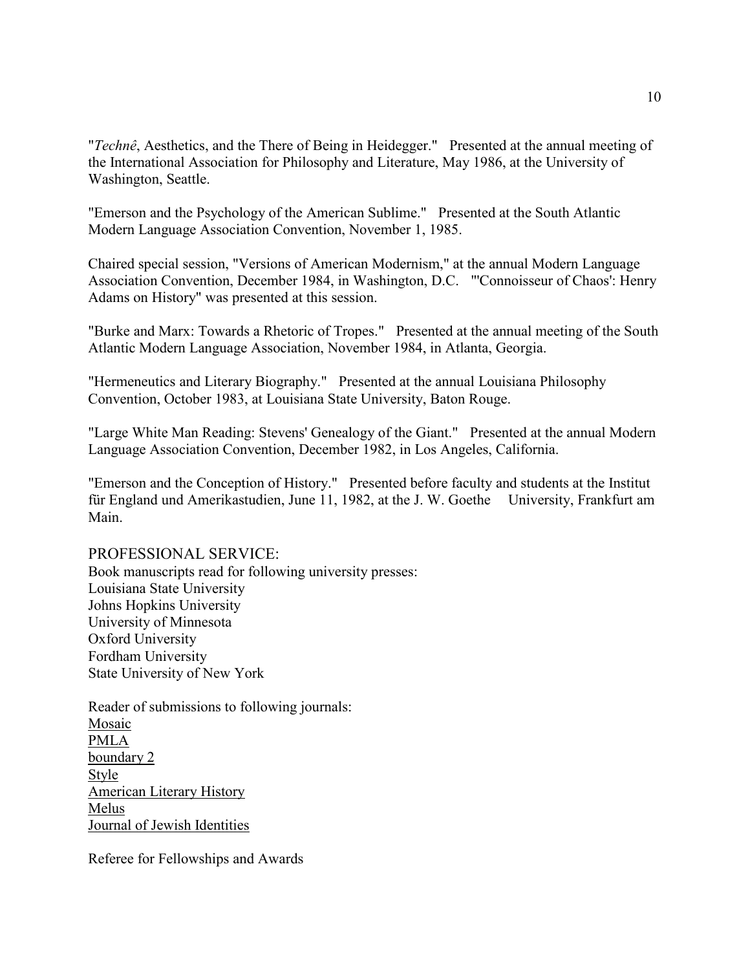"*Technê*, Aesthetics, and the There of Being in Heidegger." Presented at the annual meeting of the International Association for Philosophy and Literature, May 1986, at the University of Washington, Seattle.

 "Emerson and the Psychology of the American Sublime." Presented at the South Atlantic Modern Language Association Convention, November 1, 1985.

Chaired special session, "Versions of American Modernism," at the annual Modern Language Association Convention, December 1984, in Washington, D.C. "'Connoisseur of Chaos': Henry Adams on History" was presented at this session.

 "Burke and Marx: Towards a Rhetoric of Tropes." Presented at the annual meeting of the South Atlantic Modern Language Association, November 1984, in Atlanta, Georgia.

 "Hermeneutics and Literary Biography." Presented at the annual Louisiana Philosophy Convention, October 1983, at Louisiana State University, Baton Rouge.

 "Large White Man Reading: Stevens' Genealogy of the Giant." Presented at the annual Modern Language Association Convention, December 1982, in Los Angeles, California.

 "Emerson and the Conception of History." Presented before faculty and students at the Institut für England und Amerikastudien, June 11, 1982, at the J. W. Goethe University, Frankfurt am Main.

## PROFESSIONAL SERVICE:

 State University of New York Book manuscripts read for following university presses: Louisiana State University Johns Hopkins University University of Minnesota Oxford University Fordham University

Mosaic<br>PMLA Reader of submissions to following journals: boundary 2 Style American Literary History Melus Journal of Jewish Identities

Referee for Fellowships and Awards